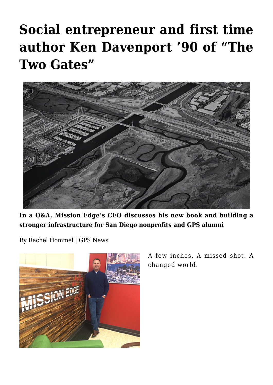# **[Social entrepreneur and first time](https://gpsnews.ucsd.edu/social-entrepreneur-and-first-time-author-ken-davenport-90-of-the-two-gates/) [author Ken Davenport '90 of "The](https://gpsnews.ucsd.edu/social-entrepreneur-and-first-time-author-ken-davenport-90-of-the-two-gates/) [Two Gates"](https://gpsnews.ucsd.edu/social-entrepreneur-and-first-time-author-ken-davenport-90-of-the-two-gates/)**



**In a Q&A, Mission Edge's CEO discusses his new book and building a stronger infrastructure for San Diego nonprofits and GPS alumni**

By Rachel Hommel | GPS News



A few inches. A missed shot. A changed world.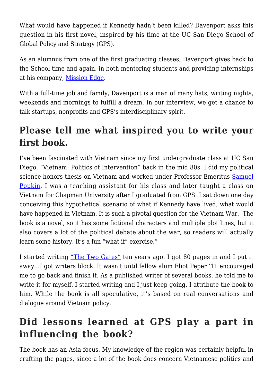What would have happened if Kennedy hadn't been killed? Davenport asks this question in his first novel, inspired by his time at the UC San Diego School of Global Policy and Strategy (GPS).

As an alumnus from one of the first graduating classes, Davenport gives back to the School time and again, in both mentoring students and providing internships at his company, [Mission Edge.](https://www.missionedge.org/)

With a full-time job and family. Davenport is a man of many hats, writing nights, weekends and mornings to fulfill a dream. In our interview, we get a chance to talk startups, nonprofits and GPS's interdisciplinary spirit.

## **Please tell me what inspired you to write your first book.**

I've been fascinated with Vietnam since my first undergraduate class at UC San Diego, "Vietnam: Politics of Intervention" back in the mid 80s. I did my political science honors thesis on Vietnam and worked under Professor Emeritus [Samuel](https://polisci.ucsd.edu/about-our-people/faculty/faculty-directory/currently-active-faculty/popkin-profile.html) [Popkin](https://polisci.ucsd.edu/about-our-people/faculty/faculty-directory/currently-active-faculty/popkin-profile.html). I was a teaching assistant for his class and later taught a class on Vietnam for Chapman University after I graduated from GPS. I sat down one day conceiving this hypothetical scenario of what if Kennedy have lived, what would have happened in Vietnam. It is such a pivotal question for the Vietnam War. The book is a novel, so it has some fictional characters and multiple plot lines, but it also covers a lot of the political debate about the war, so readers will actually learn some history. It's a fun "what if" exercise."

I started writing ["The Two Gates"](https://www.amazon.com/Two-Gates-Ken-Davenport/dp/1976520177/ref=tmm_pap_swatch_0?_encoding=UTF8&qid=1509728234&sr=1-1&dpID=51JWD%252BghYXL&preST=_SY344_BO1,204,203,200_QL70_&dpSrc=detail) ten years ago. I got 80 pages in and I put it away…I got writers block. It wasn't until fellow alum Eliot Peper '11 encouraged me to go back and finish it. As a published writer of several books, he told me to write it for myself. I started writing and I just keep going. I attribute the book to him. While the book is all speculative, it's based on real conversations and dialogue around Vietnam policy.

### **Did lessons learned at GPS play a part in influencing the book?**

The book has an Asia focus. My knowledge of the region was certainly helpful in crafting the pages, since a lot of the book does concern Vietnamese politics and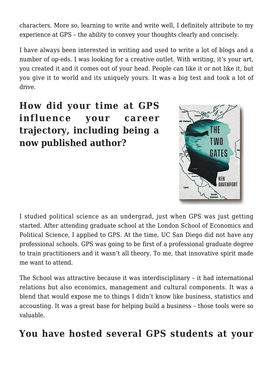characters. More so, learning to write and write well, I definitely attribute to my experience at GPS – the ability to convey your thoughts clearly and concisely.

I have always been interested in writing and used to write a lot of blogs and a number of op-eds. I was looking for a creative outlet. With writing, it's your art, you created it and it comes out of your head. People can like it or not like it, but you give it to world and its uniquely yours. It was a big test and took a lot of drive.

**How did your time at GPS influence your career trajectory, including being a now published author?**



I studied political science as an undergrad, just when GPS was just getting started. After attending graduate school at the London School of Economics and Political Science, I applied to GPS. At the time, UC San Diego did not have any professional schools. GPS was going to be first of a professional graduate degree to train practitioners and it wasn't all theory. To me, that innovative spirit made me want to attend.

The School was attractive because it was interdisciplinary – it had international relations but also economics, management and cultural components. It was a blend that would expose me to things I didn't know like business, statistics and accounting. It was a great base for helping build a business – those tools were so valuable.

#### **You have hosted several GPS students at your**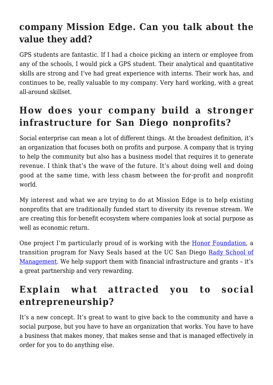### **company Mission Edge. Can you talk about the value they add?**

GPS students are fantastic. If I had a choice picking an intern or employee from any of the schools, I would pick a GPS student. Their analytical and quantitative skills are strong and I've had great experience with interns. Their work has, and continues to be, really valuable to my company. Very hard working, with a great all-around skillset.

# **How does your company build a stronger infrastructure for San Diego nonprofits?**

Social enterprise can mean a lot of different things. At the broadest definition, it's an organization that focuses both on profits and purpose. A company that is trying to help the community but also has a business model that requires it to generate revenue. I think that's the wave of the future. It's about doing well and doing good at the same time, with less chasm between the for-profit and nonprofit world.

My interest and what we are trying to do at Mission Edge is to help existing nonprofits that are traditionally funded start to diversity its revenue stream. We are creating this for-benefit ecosystem where companies look at social purpose as well as economic return.

One project I'm particularly proud of is working with the [Honor Foundation,](https://www.honor.org/) a transition program for Navy Seals based at the UC San Diego [Rady School of](http://rady.ucsd.edu/) [Management.](http://rady.ucsd.edu/) We help support them with financial infrastructure and grants – it's a great partnership and very rewarding.

# **Explain what attracted you to social entrepreneurship?**

It's a new concept. It's great to want to give back to the community and have a social purpose, but you have to have an organization that works. You have to have a business that makes money, that makes sense and that is managed effectively in order for you to do anything else.